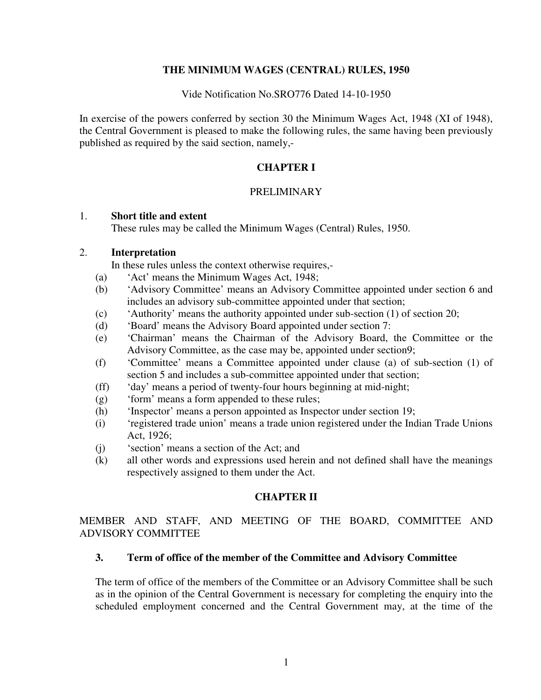### **THE MINIMUM WAGES (CENTRAL) RULES, 1950**

Vide Notification No.SRO776 Dated 14-10-1950

In exercise of the powers conferred by section 30 the Minimum Wages Act, 1948 (XI of 1948), the Central Government is pleased to make the following rules, the same having been previously published as required by the said section, namely,-

## **CHAPTER I**

### PRELIMINARY

### 1. **Short title and extent**

These rules may be called the Minimum Wages (Central) Rules, 1950.

### 2. **Interpretation**

In these rules unless the context otherwise requires,-

- (a) 'Act' means the Minimum Wages Act, 1948;
- (b) 'Advisory Committee' means an Advisory Committee appointed under section 6 and includes an advisory sub-committee appointed under that section;
- (c) 'Authority' means the authority appointed under sub-section (1) of section 20;
- (d) 'Board' means the Advisory Board appointed under section 7:
- (e) 'Chairman' means the Chairman of the Advisory Board, the Committee or the Advisory Committee, as the case may be, appointed under section9;
- (f) 'Committee' means a Committee appointed under clause (a) of sub-section (1) of section 5 and includes a sub-committee appointed under that section;
- (ff) 'day' means a period of twenty-four hours beginning at mid-night;
- (g) 'form' means a form appended to these rules;
- (h) 'Inspector' means a person appointed as Inspector under section 19;
- (i) 'registered trade union' means a trade union registered under the Indian Trade Unions Act, 1926;
- (j) 'section' means a section of the Act; and
- (k) all other words and expressions used herein and not defined shall have the meanings respectively assigned to them under the Act.

### **CHAPTER II**

MEMBER AND STAFF, AND MEETING OF THE BOARD, COMMITTEE AND ADVISORY COMMITTEE

#### **3. Term of office of the member of the Committee and Advisory Committee**

The term of office of the members of the Committee or an Advisory Committee shall be such as in the opinion of the Central Government is necessary for completing the enquiry into the scheduled employment concerned and the Central Government may, at the time of the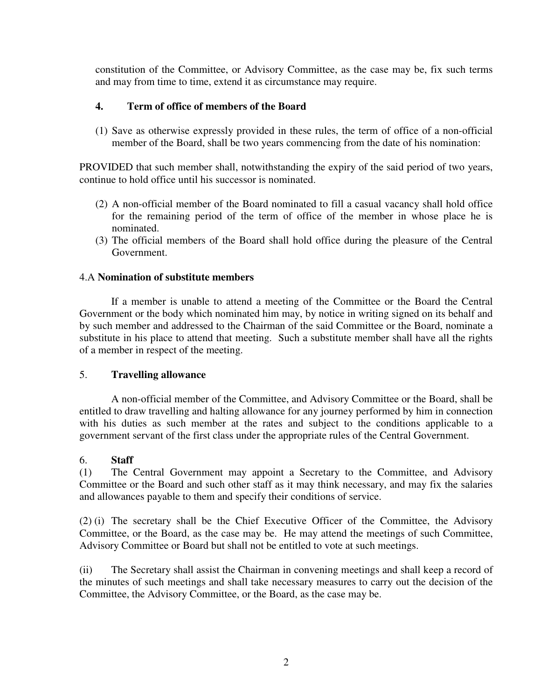constitution of the Committee, or Advisory Committee, as the case may be, fix such terms and may from time to time, extend it as circumstance may require.

## **4. Term of office of members of the Board**

(1) Save as otherwise expressly provided in these rules, the term of office of a non-official member of the Board, shall be two years commencing from the date of his nomination:

PROVIDED that such member shall, notwithstanding the expiry of the said period of two years, continue to hold office until his successor is nominated.

- (2) A non-official member of the Board nominated to fill a casual vacancy shall hold office for the remaining period of the term of office of the member in whose place he is nominated.
- (3) The official members of the Board shall hold office during the pleasure of the Central Government.

## 4.A **Nomination of substitute members**

 If a member is unable to attend a meeting of the Committee or the Board the Central Government or the body which nominated him may, by notice in writing signed on its behalf and by such member and addressed to the Chairman of the said Committee or the Board, nominate a substitute in his place to attend that meeting. Such a substitute member shall have all the rights of a member in respect of the meeting.

### 5. **Travelling allowance**

 A non-official member of the Committee, and Advisory Committee or the Board, shall be entitled to draw travelling and halting allowance for any journey performed by him in connection with his duties as such member at the rates and subject to the conditions applicable to a government servant of the first class under the appropriate rules of the Central Government.

### 6. **Staff**

(1) The Central Government may appoint a Secretary to the Committee, and Advisory Committee or the Board and such other staff as it may think necessary, and may fix the salaries and allowances payable to them and specify their conditions of service.

(2) (i) The secretary shall be the Chief Executive Officer of the Committee, the Advisory Committee, or the Board, as the case may be. He may attend the meetings of such Committee, Advisory Committee or Board but shall not be entitled to vote at such meetings.

(ii) The Secretary shall assist the Chairman in convening meetings and shall keep a record of the minutes of such meetings and shall take necessary measures to carry out the decision of the Committee, the Advisory Committee, or the Board, as the case may be.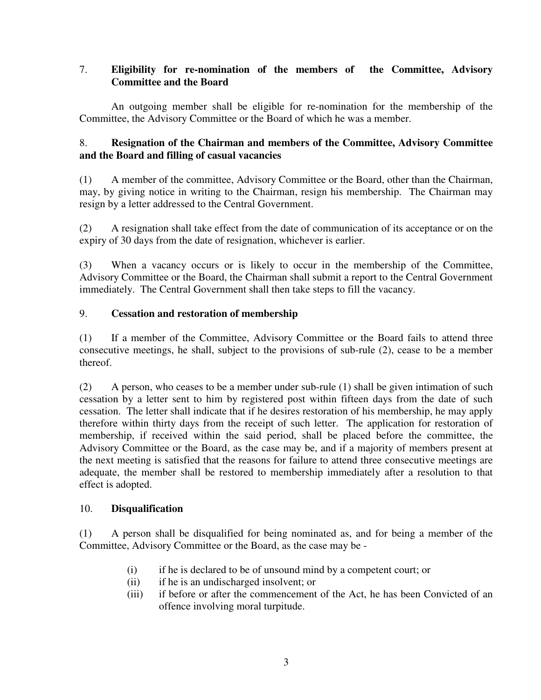## 7. **Eligibility for re-nomination of the members of the Committee, Advisory Committee and the Board**

An outgoing member shall be eligible for re-nomination for the membership of the Committee, the Advisory Committee or the Board of which he was a member.

## 8. **Resignation of the Chairman and members of the Committee, Advisory Committee and the Board and filling of casual vacancies**

(1) A member of the committee, Advisory Committee or the Board, other than the Chairman, may, by giving notice in writing to the Chairman, resign his membership. The Chairman may resign by a letter addressed to the Central Government.

(2) A resignation shall take effect from the date of communication of its acceptance or on the expiry of 30 days from the date of resignation, whichever is earlier.

(3) When a vacancy occurs or is likely to occur in the membership of the Committee, Advisory Committee or the Board, the Chairman shall submit a report to the Central Government immediately. The Central Government shall then take steps to fill the vacancy.

## 9. **Cessation and restoration of membership**

(1) If a member of the Committee, Advisory Committee or the Board fails to attend three consecutive meetings, he shall, subject to the provisions of sub-rule (2), cease to be a member thereof.

(2) A person, who ceases to be a member under sub-rule (1) shall be given intimation of such cessation by a letter sent to him by registered post within fifteen days from the date of such cessation. The letter shall indicate that if he desires restoration of his membership, he may apply therefore within thirty days from the receipt of such letter. The application for restoration of membership, if received within the said period, shall be placed before the committee, the Advisory Committee or the Board, as the case may be, and if a majority of members present at the next meeting is satisfied that the reasons for failure to attend three consecutive meetings are adequate, the member shall be restored to membership immediately after a resolution to that effect is adopted.

## 10. **Disqualification**

(1) A person shall be disqualified for being nominated as, and for being a member of the Committee, Advisory Committee or the Board, as the case may be -

- (i) if he is declared to be of unsound mind by a competent court; or
- (ii) if he is an undischarged insolvent; or
- (iii) if before or after the commencement of the Act, he has been Convicted of an offence involving moral turpitude.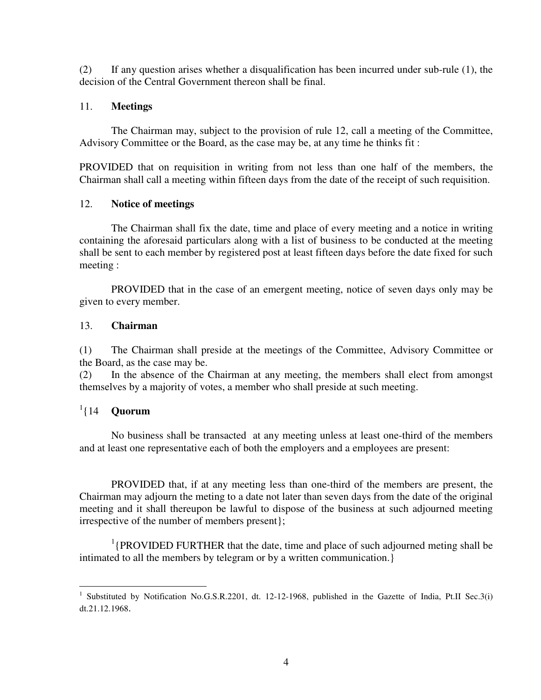(2) If any question arises whether a disqualification has been incurred under sub-rule (1), the decision of the Central Government thereon shall be final.

### 11. **Meetings**

 The Chairman may, subject to the provision of rule 12, call a meeting of the Committee, Advisory Committee or the Board, as the case may be, at any time he thinks fit :

PROVIDED that on requisition in writing from not less than one half of the members, the Chairman shall call a meeting within fifteen days from the date of the receipt of such requisition.

### 12. **Notice of meetings**

 The Chairman shall fix the date, time and place of every meeting and a notice in writing containing the aforesaid particulars along with a list of business to be conducted at the meeting shall be sent to each member by registered post at least fifteen days before the date fixed for such meeting :

 PROVIDED that in the case of an emergent meeting, notice of seven days only may be given to every member.

### 13. **Chairman**

(1) The Chairman shall preside at the meetings of the Committee, Advisory Committee or the Board, as the case may be.

(2) In the absence of the Chairman at any meeting, the members shall elect from amongst themselves by a majority of votes, a member who shall preside at such meeting.

## 1 {14 **Quorum**

 No business shall be transacted at any meeting unless at least one-third of the members and at least one representative each of both the employers and a employees are present:

PROVIDED that, if at any meeting less than one-third of the members are present, the Chairman may adjourn the meting to a date not later than seven days from the date of the original meeting and it shall thereupon be lawful to dispose of the business at such adjourned meeting irrespective of the number of members present};

<sup>1</sup>{PROVIDED FURTHER that the date, time and place of such adjourned meting shall be intimated to all the members by telegram or by a written communication.}

 $\overline{a}$ <sup>1</sup> Substituted by Notification No.G.S.R.2201, dt. 12-12-1968, published in the Gazette of India, Pt.II Sec.3(i) dt.21.12.1968.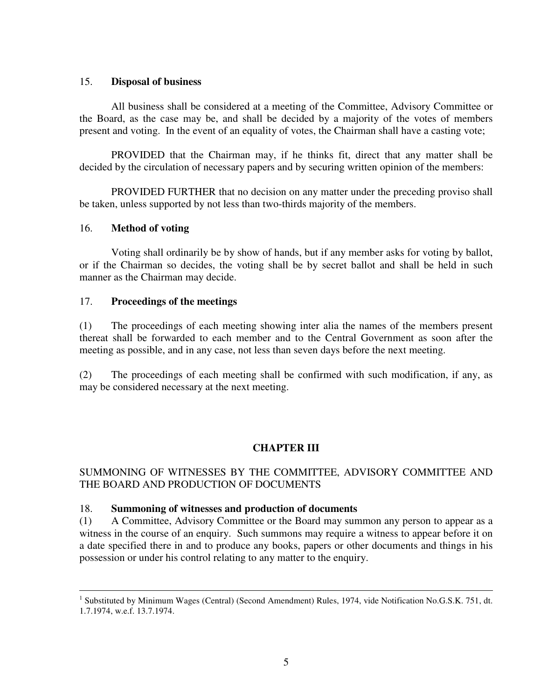### 15. **Disposal of business**

 All business shall be considered at a meeting of the Committee, Advisory Committee or the Board, as the case may be, and shall be decided by a majority of the votes of members present and voting. In the event of an equality of votes, the Chairman shall have a casting vote;

 PROVIDED that the Chairman may, if he thinks fit, direct that any matter shall be decided by the circulation of necessary papers and by securing written opinion of the members:

 PROVIDED FURTHER that no decision on any matter under the preceding proviso shall be taken, unless supported by not less than two-thirds majority of the members.

### 16. **Method of voting**

 Voting shall ordinarily be by show of hands, but if any member asks for voting by ballot, or if the Chairman so decides, the voting shall be by secret ballot and shall be held in such manner as the Chairman may decide.

### 17. **Proceedings of the meetings**

(1) The proceedings of each meeting showing inter alia the names of the members present thereat shall be forwarded to each member and to the Central Government as soon after the meeting as possible, and in any case, not less than seven days before the next meeting.

(2) The proceedings of each meeting shall be confirmed with such modification, if any, as may be considered necessary at the next meeting.

## **CHAPTER III**

### SUMMONING OF WITNESSES BY THE COMMITTEE, ADVISORY COMMITTEE AND THE BOARD AND PRODUCTION OF DOCUMENTS

#### 18. **Summoning of witnesses and production of documents**

(1) A Committee, Advisory Committee or the Board may summon any person to appear as a witness in the course of an enquiry. Such summons may require a witness to appear before it on a date specified there in and to produce any books, papers or other documents and things in his possession or under his control relating to any matter to the enquiry.

<sup>&</sup>lt;sup>1</sup> Substituted by Minimum Wages (Central) (Second Amendment) Rules, 1974, vide Notification No.G.S.K. 751, dt. 1.7.1974, w.e.f. 13.7.1974.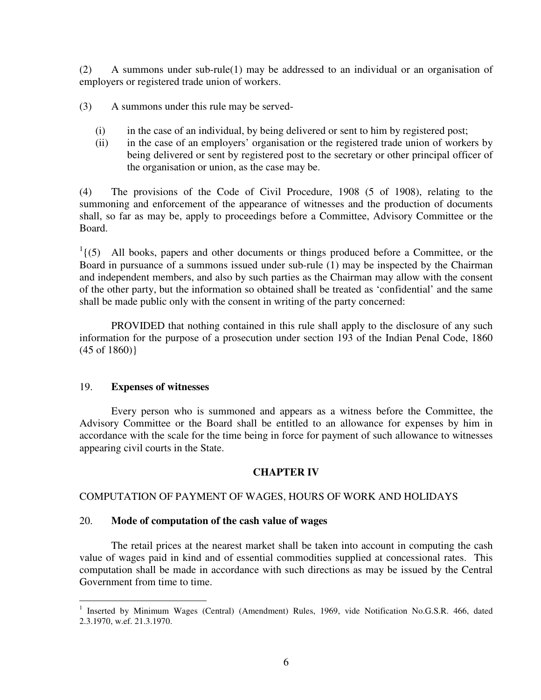(2) A summons under sub-rule(1) may be addressed to an individual or an organisation of employers or registered trade union of workers.

(3) A summons under this rule may be served-

- (i) in the case of an individual, by being delivered or sent to him by registered post;
- (ii) in the case of an employers' organisation or the registered trade union of workers by being delivered or sent by registered post to the secretary or other principal officer of the organisation or union, as the case may be.

(4) The provisions of the Code of Civil Procedure, 1908 (5 of 1908), relating to the summoning and enforcement of the appearance of witnesses and the production of documents shall, so far as may be, apply to proceedings before a Committee, Advisory Committee or the Board.

 $<sup>1</sup>$  {(5) All books, papers and other documents or things produced before a Committee, or the</sup> Board in pursuance of a summons issued under sub-rule (1) may be inspected by the Chairman and independent members, and also by such parties as the Chairman may allow with the consent of the other party, but the information so obtained shall be treated as 'confidential' and the same shall be made public only with the consent in writing of the party concerned:

 PROVIDED that nothing contained in this rule shall apply to the disclosure of any such information for the purpose of a prosecution under section 193 of the Indian Penal Code, 1860 (45 of 1860)}

### 19. **Expenses of witnesses**

 Every person who is summoned and appears as a witness before the Committee, the Advisory Committee or the Board shall be entitled to an allowance for expenses by him in accordance with the scale for the time being in force for payment of such allowance to witnesses appearing civil courts in the State.

## **CHAPTER IV**

## COMPUTATION OF PAYMENT OF WAGES, HOURS OF WORK AND HOLIDAYS

### 20. **Mode of computation of the cash value of wages**

 The retail prices at the nearest market shall be taken into account in computing the cash value of wages paid in kind and of essential commodities supplied at concessional rates. This computation shall be made in accordance with such directions as may be issued by the Central Government from time to time.

 $\overline{a}$ <sup>1</sup> Inserted by Minimum Wages (Central) (Amendment) Rules, 1969, vide Notification No.G.S.R. 466, dated 2.3.1970, w.ef. 21.3.1970.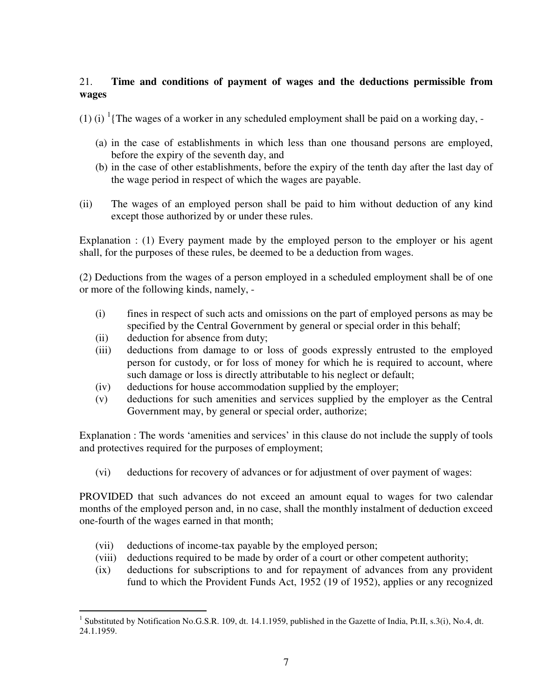## 21. **Time and conditions of payment of wages and the deductions permissible from wages**

(1) (i)  $\frac{1}{1}$  The wages of a worker in any scheduled employment shall be paid on a working day, -

- (a) in the case of establishments in which less than one thousand persons are employed, before the expiry of the seventh day, and
- (b) in the case of other establishments, before the expiry of the tenth day after the last day of the wage period in respect of which the wages are payable.
- (ii) The wages of an employed person shall be paid to him without deduction of any kind except those authorized by or under these rules.

Explanation : (1) Every payment made by the employed person to the employer or his agent shall, for the purposes of these rules, be deemed to be a deduction from wages.

(2) Deductions from the wages of a person employed in a scheduled employment shall be of one or more of the following kinds, namely, -

- (i) fines in respect of such acts and omissions on the part of employed persons as may be specified by the Central Government by general or special order in this behalf;
- (ii) deduction for absence from duty;
- (iii) deductions from damage to or loss of goods expressly entrusted to the employed person for custody, or for loss of money for which he is required to account, where such damage or loss is directly attributable to his neglect or default;
- (iv) deductions for house accommodation supplied by the employer;
- (v) deductions for such amenities and services supplied by the employer as the Central Government may, by general or special order, authorize;

Explanation : The words 'amenities and services' in this clause do not include the supply of tools and protectives required for the purposes of employment;

(vi) deductions for recovery of advances or for adjustment of over payment of wages:

PROVIDED that such advances do not exceed an amount equal to wages for two calendar months of the employed person and, in no case, shall the monthly instalment of deduction exceed one-fourth of the wages earned in that month;

- (vii) deductions of income-tax payable by the employed person;
- (viii) deductions required to be made by order of a court or other competent authority;
- (ix) deductions for subscriptions to and for repayment of advances from any provident fund to which the Provident Funds Act, 1952 (19 of 1952), applies or any recognized

 1 Substituted by Notification No.G.S.R. 109, dt. 14.1.1959, published in the Gazette of India, Pt.II, s.3(i), No.4, dt. 24.1.1959.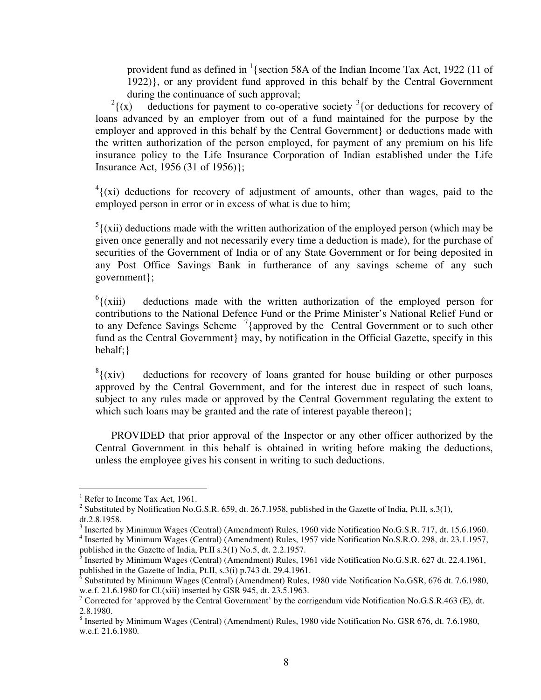provident fund as defined in  $\frac{1}{3}$  (section 58A of the Indian Income Tax Act, 1922 (11 of 1922)}, or any provident fund approved in this behalf by the Central Government during the continuance of such approval;

 $^{2}$ {(x)  ${(x)}$  deductions for payment to co-operative society <sup>3</sup>{or deductions for recovery of loans advanced by an employer from out of a fund maintained for the purpose by the employer and approved in this behalf by the Central Government} or deductions made with the written authorization of the person employed, for payment of any premium on his life insurance policy to the Life Insurance Corporation of Indian established under the Life Insurance Act, 1956 (31 of 1956)};

 $4$ {(xi) deductions for recovery of adjustment of amounts, other than wages, paid to the employed person in error or in excess of what is due to him;

 $<sup>5</sup>$  ((xii) deductions made with the written authorization of the employed person (which may be</sup> given once generally and not necessarily every time a deduction is made), for the purchase of securities of the Government of India or of any State Government or for being deposited in any Post Office Savings Bank in furtherance of any savings scheme of any such government};

 $6$ {(xiii) deductions made with the written authorization of the employed person for contributions to the National Defence Fund or the Prime Minister's National Relief Fund or to any Defence Savings Scheme  $\frac{7}{1}$  approved by the Central Government or to such other fund as the Central Government may, by notification in the Official Gazette, specify in this behalf;}

 $\frac{8}{3}$  (xiv) deductions for recovery of loans granted for house building or other purposes approved by the Central Government, and for the interest due in respect of such loans, subject to any rules made or approved by the Central Government regulating the extent to which such loans may be granted and the rate of interest payable thereon};

 PROVIDED that prior approval of the Inspector or any other officer authorized by the Central Government in this behalf is obtained in writing before making the deductions, unless the employee gives his consent in writing to such deductions.

 $\overline{a}$ 

<sup>&</sup>lt;sup>1</sup> Refer to Income Tax Act, 1961.

<sup>&</sup>lt;sup>2</sup> Substituted by Notification No.G.S.R. 659, dt. 26.7.1958, published in the Gazette of India, Pt.II, s.3(1), dt.2.8.1958.

<sup>&</sup>lt;sup>3</sup> Inserted by Minimum Wages (Central) (Amendment) Rules, 1960 vide Notification No.G.S.R. 717, dt. 15.6.1960.

<sup>&</sup>lt;sup>4</sup> Inserted by Minimum Wages (Central) (Amendment) Rules, 1957 vide Notification No.S.R.O. 298, dt. 23.1.1957, published in the Gazette of India, Pt.II s.3(1) No.5, dt. 2.2.1957.

<sup>5</sup> Inserted by Minimum Wages (Central) (Amendment) Rules, 1961 vide Notification No.G.S.R. 627 dt. 22.4.1961, published in the Gazette of India, Pt.II, s.3(i) p.743 dt. 29.4.1961.

 $\overline{6}$  Substituted by Minimum Wages (Central) (Amendment) Rules, 1980 vide Notification No.GSR, 676 dt. 7.6.1980, w.e.f. 21.6.1980 for Cl.(xiii) inserted by GSR 945, dt. 23.5.1963.

<sup>&</sup>lt;sup>7</sup> Corrected for 'approved by the Central Government' by the corrigendum vide Notification No.G.S.R.463 (E), dt. 2.8.1980.

<sup>&</sup>lt;sup>8</sup> Inserted by Minimum Wages (Central) (Amendment) Rules, 1980 vide Notification No. GSR 676, dt. 7.6.1980, w.e.f. 21.6.1980.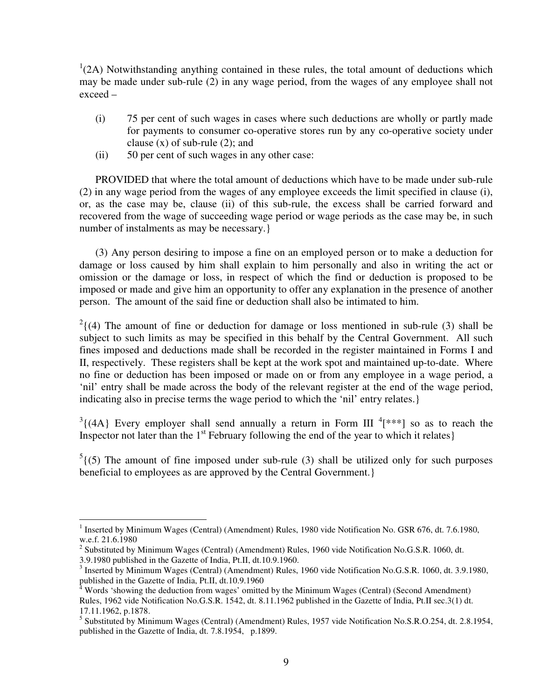$1(2A)$  Notwithstanding anything contained in these rules, the total amount of deductions which may be made under sub-rule (2) in any wage period, from the wages of any employee shall not exceed –

- (i) 75 per cent of such wages in cases where such deductions are wholly or partly made for payments to consumer co-operative stores run by any co-operative society under clause  $(x)$  of sub-rule  $(2)$ ; and
- (ii) 50 per cent of such wages in any other case:

PROVIDED that where the total amount of deductions which have to be made under sub-rule (2) in any wage period from the wages of any employee exceeds the limit specified in clause (i), or, as the case may be, clause (ii) of this sub-rule, the excess shall be carried forward and recovered from the wage of succeeding wage period or wage periods as the case may be, in such number of instalments as may be necessary.

(3) Any person desiring to impose a fine on an employed person or to make a deduction for damage or loss caused by him shall explain to him personally and also in writing the act or omission or the damage or loss, in respect of which the find or deduction is proposed to be imposed or made and give him an opportunity to offer any explanation in the presence of another person. The amount of the said fine or deduction shall also be intimated to him.

 $2(4)$  The amount of fine or deduction for damage or loss mentioned in sub-rule (3) shall be subject to such limits as may be specified in this behalf by the Central Government. All such fines imposed and deductions made shall be recorded in the register maintained in Forms I and II, respectively. These registers shall be kept at the work spot and maintained up-to-date. Where no fine or deduction has been imposed or made on or from any employee in a wage period, a 'nil' entry shall be made across the body of the relevant register at the end of the wage period, indicating also in precise terms the wage period to which the 'nil' entry relates.}

 $3(4A)$  Every employer shall send annually a return in Form III  $4$ [\*\*\*] so as to reach the Inspector not later than the  $1<sup>st</sup>$  February following the end of the year to which it relates}

 $5(5)$  The amount of fine imposed under sub-rule (3) shall be utilized only for such purposes beneficial to employees as are approved by the Central Government.}

 $\overline{a}$ <sup>1</sup> Inserted by Minimum Wages (Central) (Amendment) Rules, 1980 vide Notification No. GSR 676, dt. 7.6.1980, w.e.f. 21.6.1980

 $2$  Substituted by Minimum Wages (Central) (Amendment) Rules, 1960 vide Notification No.G.S.R. 1060, dt. 3.9.1980 published in the Gazette of India, Pt.II, dt.10.9.1960.

<sup>&</sup>lt;sup>3</sup> Inserted by Minimum Wages (Central) (Amendment) Rules, 1960 vide Notification No.G.S.R. 1060, dt. 3.9.1980, published in the Gazette of India, Pt.II, dt.10.9.1960

<sup>4</sup> Words 'showing the deduction from wages' omitted by the Minimum Wages (Central) (Second Amendment) Rules, 1962 vide Notification No.G.S.R. 1542, dt. 8.11.1962 published in the Gazette of India, Pt.II sec.3(1) dt. 17.11.1962, p.1878.

<sup>&</sup>lt;sup>5</sup> Substituted by Minimum Wages (Central) (Amendment) Rules, 1957 vide Notification No.S.R.O.254, dt. 2.8.1954, published in the Gazette of India, dt. 7.8.1954, p.1899.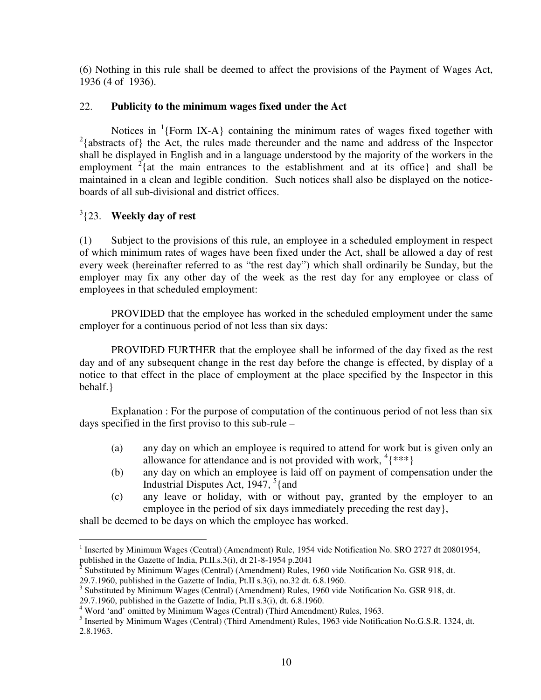(6) Nothing in this rule shall be deemed to affect the provisions of the Payment of Wages Act, 1936 (4 of 1936).

## 22. **Publicity to the minimum wages fixed under the Act**

Notices in  ${}^{1}$ {Form IX-A} containing the minimum rates of wages fixed together with  $2$ {abstracts of} the Act, the rules made thereunder and the name and address of the Inspector shall be displayed in English and in a language understood by the majority of the workers in the employment  $2$ {at the main entrances to the establishment and at its office} and shall be maintained in a clean and legible condition. Such notices shall also be displayed on the noticeboards of all sub-divisional and district offices.

## 3 {23. **Weekly day of rest**

(1) Subject to the provisions of this rule, an employee in a scheduled employment in respect of which minimum rates of wages have been fixed under the Act, shall be allowed a day of rest every week (hereinafter referred to as "the rest day") which shall ordinarily be Sunday, but the employer may fix any other day of the week as the rest day for any employee or class of employees in that scheduled employment:

PROVIDED that the employee has worked in the scheduled employment under the same employer for a continuous period of not less than six days:

 PROVIDED FURTHER that the employee shall be informed of the day fixed as the rest day and of any subsequent change in the rest day before the change is effected, by display of a notice to that effect in the place of employment at the place specified by the Inspector in this behalf.}

 Explanation : For the purpose of computation of the continuous period of not less than six days specified in the first proviso to this sub-rule –

- (a) any day on which an employee is required to attend for work but is given only an allowance for attendance and is not provided with work,  $\binom{4}{1}$  \*\*\*}
- (b) any day on which an employee is laid off on payment of compensation under the Industrial Disputes Act,  $1947, \frac{5}{1}$  and
- (c) any leave or holiday, with or without pay, granted by the employer to an employee in the period of six days immediately preceding the rest day},

shall be deemed to be days on which the employee has worked.

<sup>&</sup>lt;sup>1</sup> Inserted by Minimum Wages (Central) (Amendment) Rule, 1954 vide Notification No. SRO 2727 dt 20801954, published in the Gazette of India, Pt.II.s.3(i), dt 21-8-1954 p.2041

<sup>2</sup> Substituted by Minimum Wages (Central) (Amendment) Rules, 1960 vide Notification No. GSR 918, dt.

<sup>29.7.1960,</sup> published in the Gazette of India, Pt.II s.3(i), no.32 dt. 6.8.1960.

<sup>&</sup>lt;sup>3</sup> Substituted by Minimum Wages (Central) (Amendment) Rules, 1960 vide Notification No. GSR 918, dt.

<sup>29.7.1960,</sup> published in the Gazette of India, Pt.II s.3(i), dt. 6.8.1960. 4 Word 'and' omitted by Minimum Wages (Central) (Third Amendment) Rules, 1963.

<sup>&</sup>lt;sup>5</sup> Inserted by Minimum Wages (Central) (Third Amendment) Rules, 1963 vide Notification No.G.S.R. 1324, dt. 2.8.1963.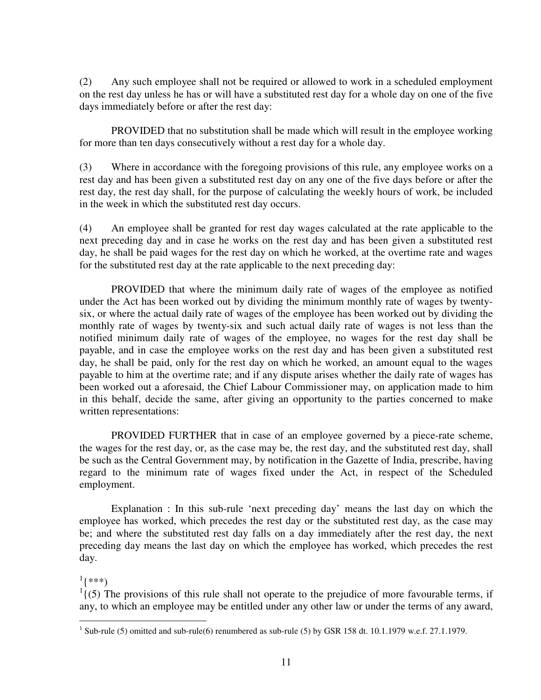(2) Any such employee shall not be required or allowed to work in a scheduled employment on the rest day unless he has or will have a substituted rest day for a whole day on one of the five days immediately before or after the rest day:

 PROVIDED that no substitution shall be made which will result in the employee working for more than ten days consecutively without a rest day for a whole day.

(3) Where in accordance with the foregoing provisions of this rule, any employee works on a rest day and has been given a substituted rest day on any one of the five days before or after the rest day, the rest day shall, for the purpose of calculating the weekly hours of work, be included in the week in which the substituted rest day occurs.

(4) An employee shall be granted for rest day wages calculated at the rate applicable to the next preceding day and in case he works on the rest day and has been given a substituted rest day, he shall be paid wages for the rest day on which he worked, at the overtime rate and wages for the substituted rest day at the rate applicable to the next preceding day:

 PROVIDED that where the minimum daily rate of wages of the employee as notified under the Act has been worked out by dividing the minimum monthly rate of wages by twentysix, or where the actual daily rate of wages of the employee has been worked out by dividing the monthly rate of wages by twenty-six and such actual daily rate of wages is not less than the notified minimum daily rate of wages of the employee, no wages for the rest day shall be payable, and in case the employee works on the rest day and has been given a substituted rest day, he shall be paid, only for the rest day on which he worked, an amount equal to the wages payable to him at the overtime rate; and if any dispute arises whether the daily rate of wages has been worked out a aforesaid, the Chief Labour Commissioner may, on application made to him in this behalf, decide the same, after giving an opportunity to the parties concerned to make written representations:

 PROVIDED FURTHER that in case of an employee governed by a piece-rate scheme, the wages for the rest day, or, as the case may be, the rest day, and the substituted rest day, shall be such as the Central Government may, by notification in the Gazette of India, prescribe, having regard to the minimum rate of wages fixed under the Act, in respect of the Scheduled employment.

 Explanation : In this sub-rule 'next preceding day' means the last day on which the employee has worked, which precedes the rest day or the substituted rest day, as the case may be; and where the substituted rest day falls on a day immediately after the rest day, the next preceding day means the last day on which the employee has worked, which precedes the rest day.

# $^{1}$ {\*\*\*)

l

 $<sup>1</sup>$  (5) The provisions of this rule shall not operate to the prejudice of more favourable terms, if</sup> any, to which an employee may be entitled under any other law or under the terms of any award,

<sup>&</sup>lt;sup>1</sup> Sub-rule (5) omitted and sub-rule(6) renumbered as sub-rule (5) by GSR 158 dt. 10.1.1979 w.e.f. 27.1.1979.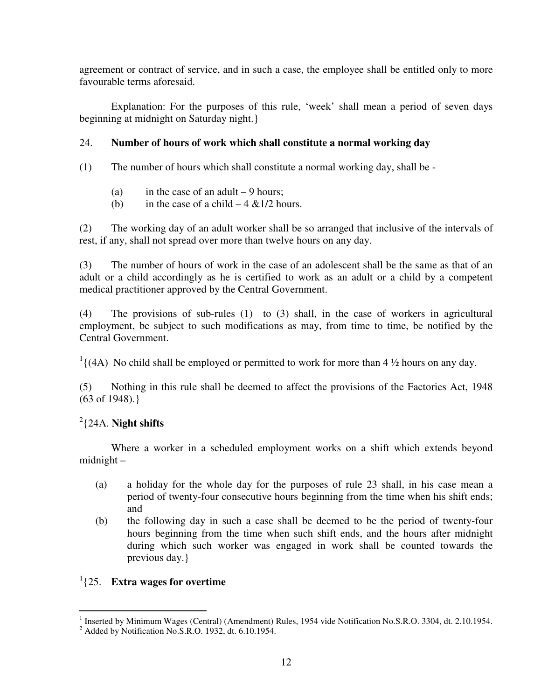agreement or contract of service, and in such a case, the employee shall be entitled only to more favourable terms aforesaid.

 Explanation: For the purposes of this rule, 'week' shall mean a period of seven days beginning at midnight on Saturday night.}

## 24. **Number of hours of work which shall constitute a normal working day**

- (1) The number of hours which shall constitute a normal working day, shall be
	- (a) in the case of an adult  $-9$  hours;
	- (b) in the case of a child  $-4 \& 1/2$  hours.

(2) The working day of an adult worker shall be so arranged that inclusive of the intervals of rest, if any, shall not spread over more than twelve hours on any day.

(3) The number of hours of work in the case of an adolescent shall be the same as that of an adult or a child accordingly as he is certified to work as an adult or a child by a competent medical practitioner approved by the Central Government.

(4) The provisions of sub-rules (1) to (3) shall, in the case of workers in agricultural employment, be subject to such modifications as may, from time to time, be notified by the Central Government.

 $<sup>1</sup>$  ((4A) No child shall be employed or permitted to work for more than 4  $\frac{1}{2}$  hours on any day.</sup>

(5) Nothing in this rule shall be deemed to affect the provisions of the Factories Act, 1948 (63 of 1948).}

# 2 {24A. **Night shifts**

 Where a worker in a scheduled employment works on a shift which extends beyond midnight –

- (a) a holiday for the whole day for the purposes of rule 23 shall, in his case mean a period of twenty-four consecutive hours beginning from the time when his shift ends; and
- (b) the following day in such a case shall be deemed to be the period of twenty-four hours beginning from the time when such shift ends, and the hours after midnight during which such worker was engaged in work shall be counted towards the previous day.}

# 1 {25. **Extra wages for overtime**

<sup>&</sup>lt;sup>1</sup> Inserted by Minimum Wages (Central) (Amendment) Rules, 1954 vide Notification No.S.R.O. 3304, dt. 2.10.1954.

 $<sup>2</sup>$  Added by Notification No.S.R.O. 1932, dt. 6.10.1954.</sup>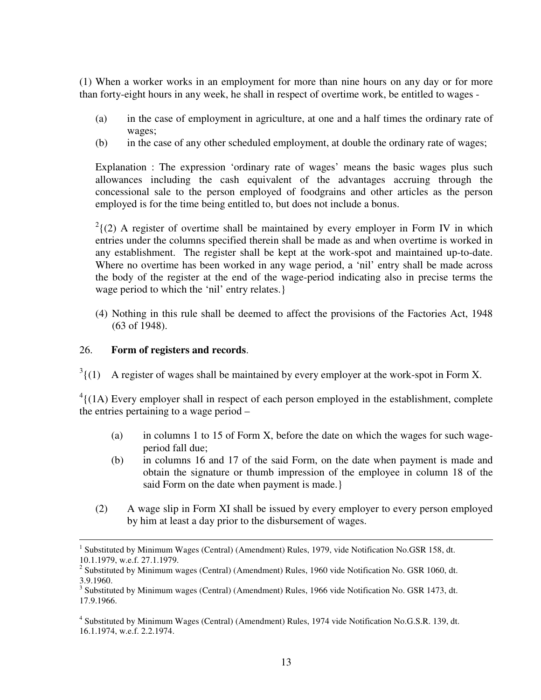(1) When a worker works in an employment for more than nine hours on any day or for more than forty-eight hours in any week, he shall in respect of overtime work, be entitled to wages -

- (a) in the case of employment in agriculture, at one and a half times the ordinary rate of wages;
- (b) in the case of any other scheduled employment, at double the ordinary rate of wages;

Explanation : The expression 'ordinary rate of wages' means the basic wages plus such allowances including the cash equivalent of the advantages accruing through the concessional sale to the person employed of foodgrains and other articles as the person employed is for the time being entitled to, but does not include a bonus.

 $2(2)$  A register of overtime shall be maintained by every employer in Form IV in which entries under the columns specified therein shall be made as and when overtime is worked in any establishment. The register shall be kept at the work-spot and maintained up-to-date. Where no overtime has been worked in any wage period, a 'nil' entry shall be made across the body of the register at the end of the wage-period indicating also in precise terms the wage period to which the 'nil' entry relates.}

(4) Nothing in this rule shall be deemed to affect the provisions of the Factories Act, 1948 (63 of 1948).

## 26. **Form of registers and records**.

 $\overline{a}$ 

 $3(1)$ A register of wages shall be maintained by every employer at the work-spot in Form X.

 $^{4}$ {(1A) Every employer shall in respect of each person employed in the establishment, complete the entries pertaining to a wage period –

- (a) in columns 1 to 15 of Form X, before the date on which the wages for such wageperiod fall due;
- (b) in columns 16 and 17 of the said Form, on the date when payment is made and obtain the signature or thumb impression of the employee in column 18 of the said Form on the date when payment is made.}
- (2) A wage slip in Form XI shall be issued by every employer to every person employed by him at least a day prior to the disbursement of wages.

<sup>1</sup> Substituted by Minimum Wages (Central) (Amendment) Rules, 1979, vide Notification No.GSR 158, dt. 10.1.1979, w.e.f. 27.1.1979.

 $2$  Substituted by Minimum wages (Central) (Amendment) Rules, 1960 vide Notification No. GSR 1060, dt. 3.9.1960.

<sup>&</sup>lt;sup>3</sup> Substituted by Minimum wages (Central) (Amendment) Rules, 1966 vide Notification No. GSR 1473, dt. 17.9.1966.

<sup>&</sup>lt;sup>4</sup> Substituted by Minimum Wages (Central) (Amendment) Rules, 1974 vide Notification No.G.S.R. 139, dt. 16.1.1974, w.e.f. 2.2.1974.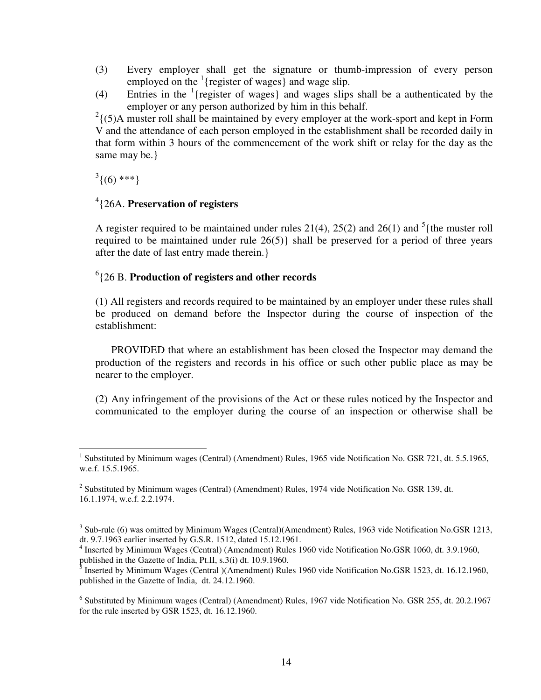- (3) Every employer shall get the signature or thumb-impression of every person employed on the  $($  [register of wages] and wage slip.
- (4) Entries in the <sup>1</sup>{register of wages} and wages slips shall be a authenticated by the employer or any person authorized by him in this behalf.

 $2\{(5)$ A muster roll shall be maintained by every employer at the work-sport and kept in Form V and the attendance of each person employed in the establishment shall be recorded daily in that form within 3 hours of the commencement of the work shift or relay for the day as the same may be.}

 $\binom{3}{0}$ \*\*\*}

## 4 {26A. **Preservation of registers**

A register required to be maintained under rules 21(4), 25(2) and 26(1) and  $5$ {the muster roll required to be maintained under rule 26(5)} shall be preserved for a period of three years after the date of last entry made therein.}

## 6 {26 B. **Production of registers and other records**

(1) All registers and records required to be maintained by an employer under these rules shall be produced on demand before the Inspector during the course of inspection of the establishment:

 PROVIDED that where an establishment has been closed the Inspector may demand the production of the registers and records in his office or such other public place as may be nearer to the employer.

(2) Any infringement of the provisions of the Act or these rules noticed by the Inspector and communicated to the employer during the course of an inspection or otherwise shall be

 1 Substituted by Minimum wages (Central) (Amendment) Rules, 1965 vide Notification No. GSR 721, dt. 5.5.1965, w.e.f. 15.5.1965.

 $2$  Substituted by Minimum wages (Central) (Amendment) Rules, 1974 vide Notification No. GSR 139, dt. 16.1.1974, w.e.f. 2.2.1974.

 $3$  Sub-rule (6) was omitted by Minimum Wages (Central)(Amendment) Rules, 1963 vide Notification No.GSR 1213, dt. 9.7.1963 earlier inserted by G.S.R. 1512, dated 15.12.1961.

<sup>&</sup>lt;sup>4</sup> Inserted by Minimum Wages (Central) (Amendment) Rules 1960 vide Notification No.GSR 1060, dt. 3.9.1960, published in the Gazette of India, Pt.II, s.3(i) dt. 10.9.1960.

 $<sup>5</sup>$  Inserted by Minimum Wages (Central )(Amendment) Rules 1960 vide Notification No.GSR 1523, dt. 16.12.1960,</sup> published in the Gazette of India, dt. 24.12.1960.

<sup>&</sup>lt;sup>6</sup> Substituted by Minimum wages (Central) (Amendment) Rules, 1967 vide Notification No. GSR 255, dt. 20.2.1967 for the rule inserted by GSR 1523, dt. 16.12.1960.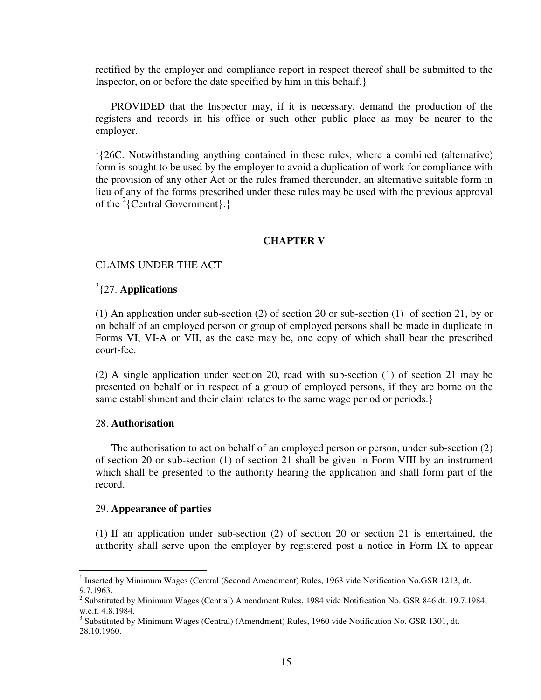rectified by the employer and compliance report in respect thereof shall be submitted to the Inspector, on or before the date specified by him in this behalf.}

 PROVIDED that the Inspector may, if it is necessary, demand the production of the registers and records in his office or such other public place as may be nearer to the employer.

<sup>1</sup>{26C. Notwithstanding anything contained in these rules, where a combined (alternative) form is sought to be used by the employer to avoid a duplication of work for compliance with the provision of any other Act or the rules framed thereunder, an alternative suitable form in lieu of any of the forms prescribed under these rules may be used with the previous approval of the  $2$ {Central Government}.}

### **CHAPTER V**

### CLAIMS UNDER THE ACT

## 3 {27. **Applications**

(1) An application under sub-section (2) of section 20 or sub-section (1) of section 21, by or on behalf of an employed person or group of employed persons shall be made in duplicate in Forms VI, VI-A or VII, as the case may be, one copy of which shall bear the prescribed court-fee.

(2) A single application under section 20, read with sub-section (1) of section 21 may be presented on behalf or in respect of a group of employed persons, if they are borne on the same establishment and their claim relates to the same wage period or periods.}

### 28. **Authorisation**

 The authorisation to act on behalf of an employed person or person, under sub-section (2) of section 20 or sub-section (1) of section 21 shall be given in Form VIII by an instrument which shall be presented to the authority hearing the application and shall form part of the record.

### 29. **Appearance of parties**

(1) If an application under sub-section (2) of section 20 or section 21 is entertained, the authority shall serve upon the employer by registered post a notice in Form IX to appear

<sup>&</sup>lt;sup>1</sup> Inserted by Minimum Wages (Central (Second Amendment) Rules, 1963 vide Notification No.GSR 1213, dt. 9.7.1963.

<sup>&</sup>lt;sup>2</sup> Substituted by Minimum Wages (Central) Amendment Rules, 1984 vide Notification No. GSR 846 dt. 19.7.1984, w.e.f. 4.8.1984.

<sup>&</sup>lt;sup>3</sup> Substituted by Minimum Wages (Central) (Amendment) Rules, 1960 vide Notification No. GSR 1301, dt. 28.10.1960.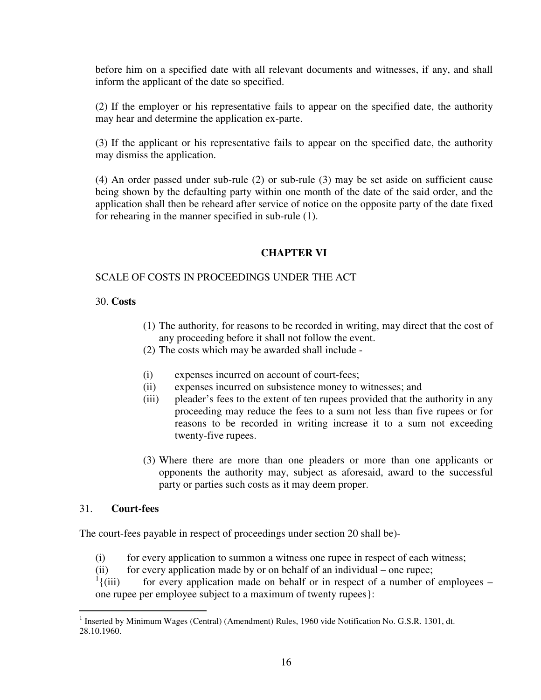before him on a specified date with all relevant documents and witnesses, if any, and shall inform the applicant of the date so specified.

(2) If the employer or his representative fails to appear on the specified date, the authority may hear and determine the application ex-parte.

(3) If the applicant or his representative fails to appear on the specified date, the authority may dismiss the application.

(4) An order passed under sub-rule (2) or sub-rule (3) may be set aside on sufficient cause being shown by the defaulting party within one month of the date of the said order, and the application shall then be reheard after service of notice on the opposite party of the date fixed for rehearing in the manner specified in sub-rule (1).

### **CHAPTER VI**

### SCALE OF COSTS IN PROCEEDINGS UNDER THE ACT

### 30. **Costs**

- (1) The authority, for reasons to be recorded in writing, may direct that the cost of any proceeding before it shall not follow the event.
- (2) The costs which may be awarded shall include -
- (i) expenses incurred on account of court-fees;
- (ii) expenses incurred on subsistence money to witnesses; and
- (iii) pleader's fees to the extent of ten rupees provided that the authority in any proceeding may reduce the fees to a sum not less than five rupees or for reasons to be recorded in writing increase it to a sum not exceeding twenty-five rupees.
- (3) Where there are more than one pleaders or more than one applicants or opponents the authority may, subject as aforesaid, award to the successful party or parties such costs as it may deem proper.

### 31. **Court-fees**

The court-fees payable in respect of proceedings under section 20 shall be)-

- (i) for every application to summon a witness one rupee in respect of each witness;
- (ii) for every application made by or on behalf of an individual one rupee;
- $\frac{1}{1}$  (iii) for every application made on behalf or in respect of a number of employees  $$ one rupee per employee subject to a maximum of twenty rupees}:

<sup>&</sup>lt;sup>1</sup> Inserted by Minimum Wages (Central) (Amendment) Rules, 1960 vide Notification No. G.S.R. 1301, dt. 28.10.1960.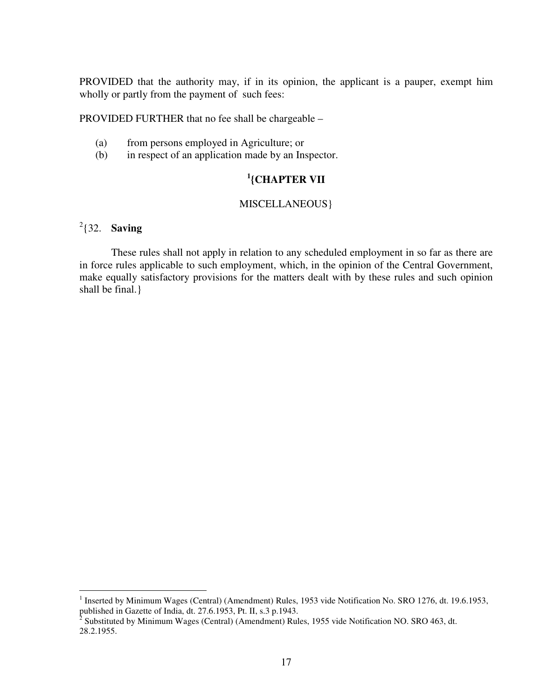PROVIDED that the authority may, if in its opinion, the applicant is a pauper, exempt him wholly or partly from the payment of such fees:

PROVIDED FURTHER that no fee shall be chargeable –

- (a) from persons employed in Agriculture; or
- (b) in respect of an application made by an Inspector.

# **1 {CHAPTER VII**

## MISCELLANEOUS}

## $2\frac{2}{32}$ . **Saving**

 $\overline{a}$ 

 These rules shall not apply in relation to any scheduled employment in so far as there are in force rules applicable to such employment, which, in the opinion of the Central Government, make equally satisfactory provisions for the matters dealt with by these rules and such opinion shall be final.}

<sup>&</sup>lt;sup>1</sup> Inserted by Minimum Wages (Central) (Amendment) Rules, 1953 vide Notification No. SRO 1276, dt. 19.6.1953,

published in Gazette of India, dt. 27.6.1953, Pt. II, s.3 p.1943.<br><sup>2</sup> Substituted by Minimum Wages (Central) (Amendment) Rules, 1955 vide Notification NO. SRO 463, dt. 28.2.1955.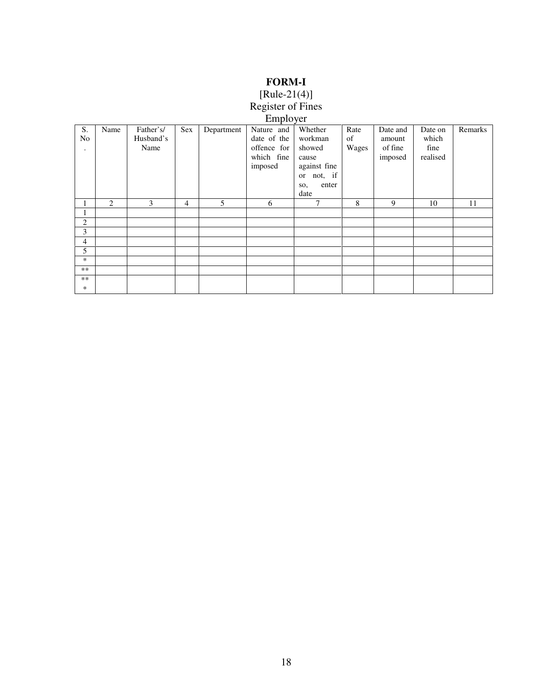# **FORM-I**

#### [Rule-21(4)]

#### Register of Fines

#### Employer

| S.<br>No<br>٠  | Name | Father's/<br>Husband's<br>Name | Sex            | Department | Nature and<br>date of the<br>offence for<br>which fine<br>imposed | Whether<br>workman<br>showed<br>cause<br>against fine<br>not, if<br>or<br>enter<br>SO,<br>date | Rate<br>of<br>Wages | Date and<br>amount<br>of fine<br>imposed | Date on<br>which<br>fine<br>realised | Remarks |
|----------------|------|--------------------------------|----------------|------------|-------------------------------------------------------------------|------------------------------------------------------------------------------------------------|---------------------|------------------------------------------|--------------------------------------|---------|
|                | 2    | 3                              | $\overline{4}$ | 5          | 6                                                                 | 7                                                                                              | 8                   | 9                                        | 10                                   | 11      |
|                |      |                                |                |            |                                                                   |                                                                                                |                     |                                          |                                      |         |
| $\overline{c}$ |      |                                |                |            |                                                                   |                                                                                                |                     |                                          |                                      |         |
| 3              |      |                                |                |            |                                                                   |                                                                                                |                     |                                          |                                      |         |
| 4              |      |                                |                |            |                                                                   |                                                                                                |                     |                                          |                                      |         |
| 5              |      |                                |                |            |                                                                   |                                                                                                |                     |                                          |                                      |         |
| *              |      |                                |                |            |                                                                   |                                                                                                |                     |                                          |                                      |         |
| **             |      |                                |                |            |                                                                   |                                                                                                |                     |                                          |                                      |         |
| $***$<br>*     |      |                                |                |            |                                                                   |                                                                                                |                     |                                          |                                      |         |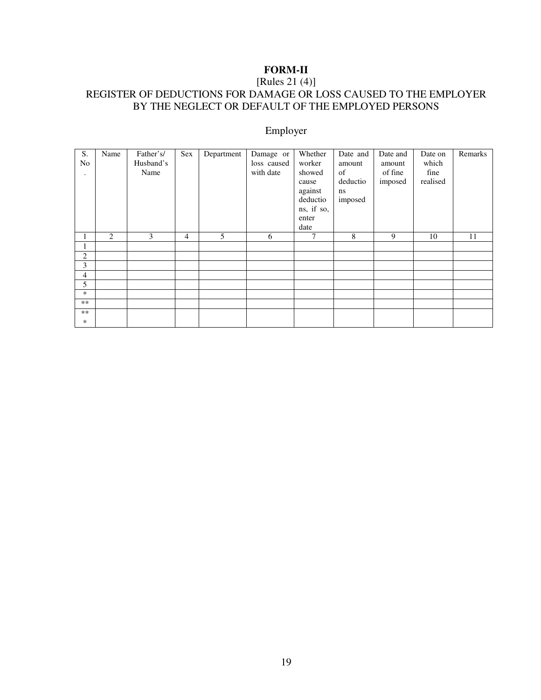# **FORM-II**

### [Rules 21 (4)] REGISTER OF DEDUCTIONS FOR DAMAGE OR LOSS CAUSED TO THE EMPLOYER BY THE NEGLECT OR DEFAULT OF THE EMPLOYED PERSONS

## Employer

| S.<br>N <sub>o</sub><br>$\bullet$ | Name | Father's/<br>Husband's<br>Name | Sex            | Department | Damage or<br>loss caused<br>with date | Whether<br>worker<br>showed<br>cause<br>against<br>deductio<br>ns, if so,<br>enter<br>date | Date and<br>amount<br>of<br>deductio<br>ns<br>imposed | Date and<br>amount<br>of fine<br>imposed | Date on<br>which<br>fine<br>realised | Remarks |
|-----------------------------------|------|--------------------------------|----------------|------------|---------------------------------------|--------------------------------------------------------------------------------------------|-------------------------------------------------------|------------------------------------------|--------------------------------------|---------|
| 1                                 | 2    | 3                              | $\overline{4}$ | 5          | 6                                     | 7                                                                                          | 8                                                     | 9                                        | 10                                   | 11      |
| 1.                                |      |                                |                |            |                                       |                                                                                            |                                                       |                                          |                                      |         |
| 2                                 |      |                                |                |            |                                       |                                                                                            |                                                       |                                          |                                      |         |
| 3                                 |      |                                |                |            |                                       |                                                                                            |                                                       |                                          |                                      |         |
| 4                                 |      |                                |                |            |                                       |                                                                                            |                                                       |                                          |                                      |         |
| 5                                 |      |                                |                |            |                                       |                                                                                            |                                                       |                                          |                                      |         |
| *                                 |      |                                |                |            |                                       |                                                                                            |                                                       |                                          |                                      |         |
| $**$                              |      |                                |                |            |                                       |                                                                                            |                                                       |                                          |                                      |         |
| $***$                             |      |                                |                |            |                                       |                                                                                            |                                                       |                                          |                                      |         |
| *                                 |      |                                |                |            |                                       |                                                                                            |                                                       |                                          |                                      |         |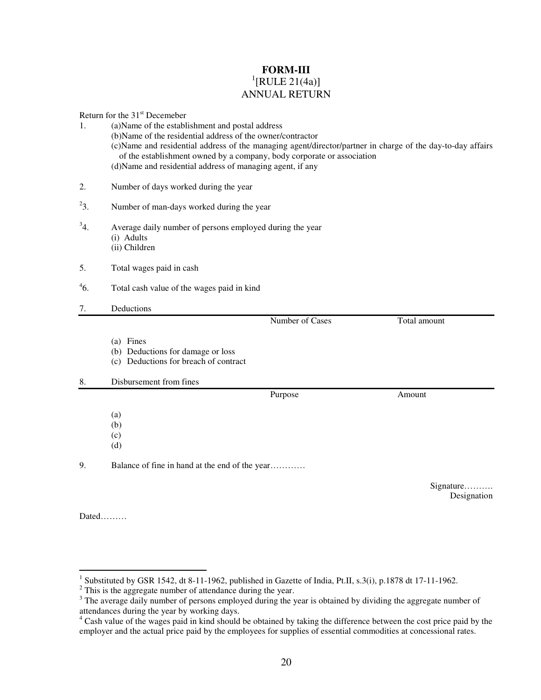### **FORM-III**   ${}^{1}$ [RULE 21(4a)] ANNUAL RETURN

Return for the 31st Decemeber

| 1.       | <b>INCIDENT INTO THE 31 DECEMBER</b><br>(a) Name of the establishment and postal address<br>(b) Name of the residential address of the owner/contractor<br>(c) Name and residential address of the managing agent/director/partner in charge of the day-to-day affairs<br>of the establishment owned by a company, body corporate or association<br>(d) Name and residential address of managing agent, if any |  |  |  |  |  |  |
|----------|----------------------------------------------------------------------------------------------------------------------------------------------------------------------------------------------------------------------------------------------------------------------------------------------------------------------------------------------------------------------------------------------------------------|--|--|--|--|--|--|
|          |                                                                                                                                                                                                                                                                                                                                                                                                                |  |  |  |  |  |  |
| 2.       | Number of days worked during the year                                                                                                                                                                                                                                                                                                                                                                          |  |  |  |  |  |  |
| $^{2}3.$ | Number of man-days worked during the year                                                                                                                                                                                                                                                                                                                                                                      |  |  |  |  |  |  |
| $^{3}4.$ | Average daily number of persons employed during the year<br>(i) Adults<br>(ii) Children                                                                                                                                                                                                                                                                                                                        |  |  |  |  |  |  |
| 5.       | Total wages paid in cash                                                                                                                                                                                                                                                                                                                                                                                       |  |  |  |  |  |  |
| $^{4}6.$ | Total cash value of the wages paid in kind                                                                                                                                                                                                                                                                                                                                                                     |  |  |  |  |  |  |
| 7.       | Deductions                                                                                                                                                                                                                                                                                                                                                                                                     |  |  |  |  |  |  |
|          | Number of Cases<br>Total amount                                                                                                                                                                                                                                                                                                                                                                                |  |  |  |  |  |  |
|          | (a) Fines<br>(b) Deductions for damage or loss<br>(c) Deductions for breach of contract                                                                                                                                                                                                                                                                                                                        |  |  |  |  |  |  |
| 8.       | Disbursement from fines                                                                                                                                                                                                                                                                                                                                                                                        |  |  |  |  |  |  |
|          | Purpose<br>Amount                                                                                                                                                                                                                                                                                                                                                                                              |  |  |  |  |  |  |
|          | (a)<br>(b)<br>(c)<br>(d)                                                                                                                                                                                                                                                                                                                                                                                       |  |  |  |  |  |  |
| 9.       | Balance of fine in hand at the end of the year                                                                                                                                                                                                                                                                                                                                                                 |  |  |  |  |  |  |
|          | Signature<br>Designation                                                                                                                                                                                                                                                                                                                                                                                       |  |  |  |  |  |  |

Dated………

<sup>&</sup>lt;sup>1</sup> Substituted by GSR 1542, dt 8-11-1962, published in Gazette of India, Pt.II, s.3(i), p.1878 dt 17-11-1962.<br><sup>2</sup> This is the aggregate number of attendance during the year.

<sup>&</sup>lt;sup>3</sup> The average daily number of persons employed during the year is obtained by dividing the aggregate number of

attendances during the year by working days. 4 Cash value of the wages paid in kind should be obtained by taking the difference between the cost price paid by the employer and the actual price paid by the employees for supplies of essential commodities at concessional rates.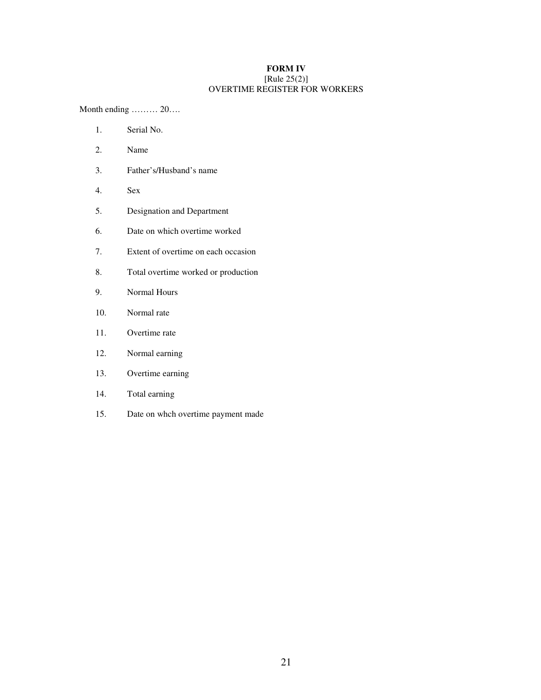#### **FORM IV**  [Rule 25(2)] OVERTIME REGISTER FOR WORKERS

Month ending ……… 20….

- 1. Serial No.
- 2. Name
- 3. Father's/Husband's name
- 4. Sex
- 5. Designation and Department
- 6. Date on which overtime worked
- 7. Extent of overtime on each occasion
- 8. Total overtime worked or production
- 9. Normal Hours
- 10. Normal rate
- 11. Overtime rate
- 12. Normal earning
- 13. Overtime earning
- 14. Total earning
- 15. Date on whch overtime payment made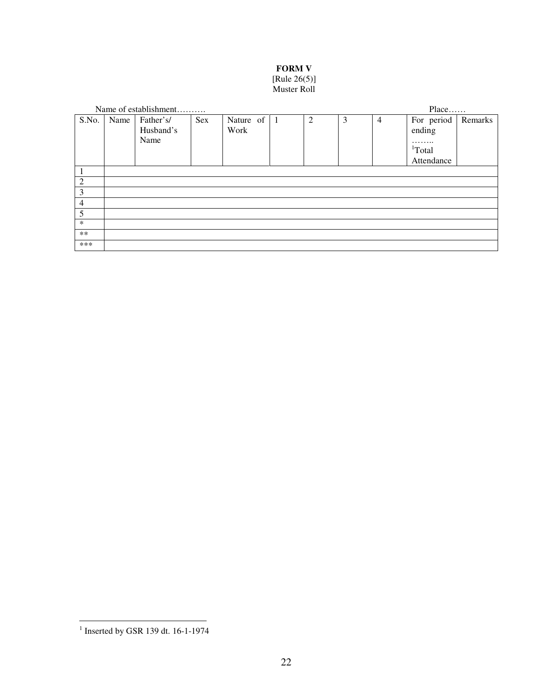### **FORM V**

#### [Rule 26(5)] Muster Roll

|                |      | Name of establishment |     |                     |   |   |                | Place              |         |
|----------------|------|-----------------------|-----|---------------------|---|---|----------------|--------------------|---------|
| S.No.          | Name | Father's/             | Sex | Nature of $\vert$ 1 | 2 | 3 | $\overline{4}$ | For period         | Remarks |
|                |      | Husband's             |     | Work                |   |   |                | ending             |         |
|                |      | Name                  |     |                     |   |   |                | .                  |         |
|                |      |                       |     |                     |   |   |                | <sup>1</sup> Total |         |
|                |      |                       |     |                     |   |   |                | Attendance         |         |
|                |      |                       |     |                     |   |   |                |                    |         |
| $\overline{c}$ |      |                       |     |                     |   |   |                |                    |         |
| 3              |      |                       |     |                     |   |   |                |                    |         |
| 4              |      |                       |     |                     |   |   |                |                    |         |
| 5              |      |                       |     |                     |   |   |                |                    |         |
| $\ast$         |      |                       |     |                     |   |   |                |                    |         |
| $***$          |      |                       |     |                     |   |   |                |                    |         |
| ***            |      |                       |     |                     |   |   |                |                    |         |

<sup>&</sup>lt;sup>1</sup> Inserted by GSR 139 dt. 16-1-1974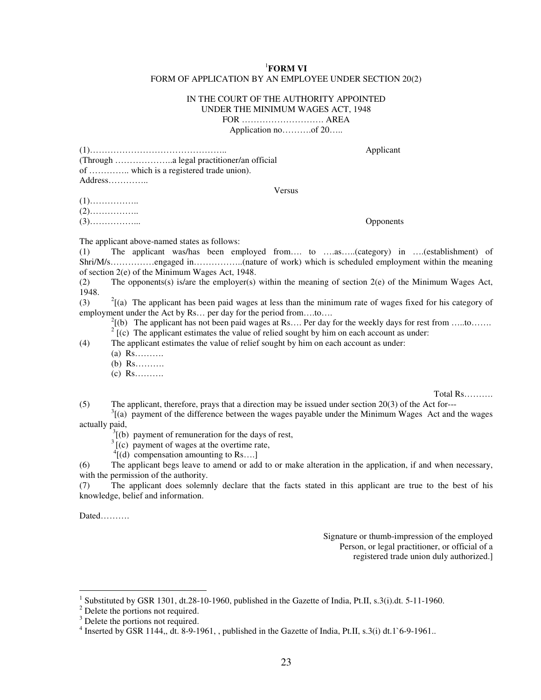#### <sup>1</sup>**FORM VI**  FORM OF APPLICATION BY AN EMPLOYEE UNDER SECTION 20(2)

#### IN THE COURT OF THE AUTHORITY APPOINTED UNDER THE MINIMUM WAGES ACT, 1948 FOR ………………………. AREA

Application no……….of 20…..

| Applicant |
|-----------|
|           |
|           |
|           |
|           |
|           |
|           |
|           |

(3)……………... Opponents

The applicant above-named states as follows:

(1) The applicant was/has been employed from…. to ….as…..(category) in ….(establishment) of Shri/M/s……………engaged in……………..(nature of work) which is scheduled employment within the meaning of section 2(e) of the Minimum Wages Act, 1948.

(2) The opponents(s) is/are the employer(s) within the meaning of section 2(e) of the Minimum Wages Act, 1948.

 $(3)$  $^{2}$ [(a) The applicant has been paid wages at less than the minimum rate of wages fixed for his category of employment under the Act by Rs... per day for the period from....to....

 $^{2}$ [(b) The applicant has not been paid wages at Rs…. Per day for the weekly days for rest from …..to…….

[(c) The applicant estimates the value of relied sought by him on each account as under:

(4) The applicant estimates the value of relief sought by him on each account as under:

- $(a)$  Rs……….
- (b) Rs……….
- (c) Rs……….

Total Rs……….

(5) The applicant, therefore, prays that a direction may be issued under section 20(3) of the Act for---

 $3$ [(a) payment of the difference between the wages payable under the Minimum Wages Act and the wages actually paid,

 $\hat{B}$ [(b) payment of remuneration for the days of rest,

 $3$ [(c) payment of wages at the overtime rate,

 $^{4}$ [(d) compensation amounting to Rs....]

(6) The applicant begs leave to amend or add to or make alteration in the application, if and when necessary, with the permission of the authority.

(7) The applicant does solemnly declare that the facts stated in this applicant are true to the best of his knowledge, belief and information.

Dated……….

 $\overline{a}$ 

Signature or thumb-impression of the employed Person, or legal practitioner, or official of a registered trade union duly authorized.]

<sup>&</sup>lt;sup>1</sup> Substituted by GSR 1301, dt.28-10-1960, published in the Gazette of India, Pt.II, s.3(i).dt. 5-11-1960.

<sup>&</sup>lt;sup>2</sup> Delete the portions not required.

<sup>&</sup>lt;sup>3</sup> Delete the portions not required.

<sup>&</sup>lt;sup>4</sup> Inserted by GSR 1144,, dt. 8-9-1961, , published in the Gazette of India, Pt.II, s.3(i) dt.1`6-9-1961.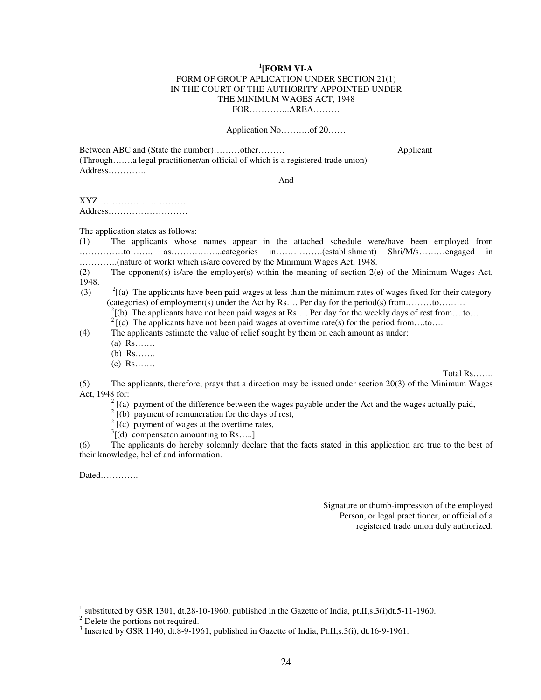#### **1 [FORM VI-A**  FORM OF GROUP APLICATION UNDER SECTION 21(1) IN THE COURT OF THE AUTHORITY APPOINTED UNDER THE MINIMUM WAGES ACT, 1948 FOR…………..AREA………

#### Application No……….of 20……

Between ABC and (State the number)………other……… Applicant (Through…….a legal practitioner/an official of which is a registered trade union) Address………….

And

XYZ…………………………. Address………………………

The application states as follows:

(1) The applicants whose names appear in the attached schedule were/have been employed from ……………to…….. as……………...categories in…………….(establishment) Shri/M/s………engaged in ………….(nature of work) which is/are covered by the Minimum Wages Act, 1948.

(2) The opponent(s) is/are the employer(s) within the meaning of section 2(e) of the Minimum Wages Act, 1948.

 $(3)$  $^{2}$ [(a) The applicants have been paid wages at less than the minimum rates of wages fixed for their category (categories) of employment(s) under the Act by  $\text{Rs} \dots$  Per day for the period(s) from ... ... to ... ...

<sup>2</sup>[(b) The applicants have not been paid wages at Rs…. Per day for the weekly days of rest from….to… <sup>2</sup>[(c) The applicants have not been paid wages at overtime rate(s) for the period from….to….

(4) The applicants estimate the value of relief sought by them on each amount as under:

- (a) Rs…….
- (b) Rs…….
- (c) Rs…….

Total Rs…….

(5) The applicants, therefore, prays that a direction may be issued under section 20(3) of the Minimum Wages Act, 1948 for:

 $2 \text{ [(a) payment of the difference between the wages payable under the Act and the wages actually paid, }$ 

 $2^2$  [(b) payment of remuneration for the days of rest,

 $2^2$  [(c) payment of wages at the overtime rates,

 $3[(d)$  compensaton amounting to Rs.....]

(6) The applicants do hereby solemnly declare that the facts stated in this application are true to the best of their knowledge, belief and information.

Dated………….

Signature or thumb-impression of the employed Person, or legal practitioner, or official of a registered trade union duly authorized.

<sup>&</sup>lt;sup>1</sup> substituted by GSR 1301, dt.28-10-1960, published in the Gazette of India, pt.II,s.3(i)dt.5-11-1960.

 $2^2$  Delete the portions not required.

<sup>&</sup>lt;sup>3</sup> Inserted by GSR 1140, dt.8-9-1961, published in Gazette of India, Pt.II,s.3(i), dt.16-9-1961.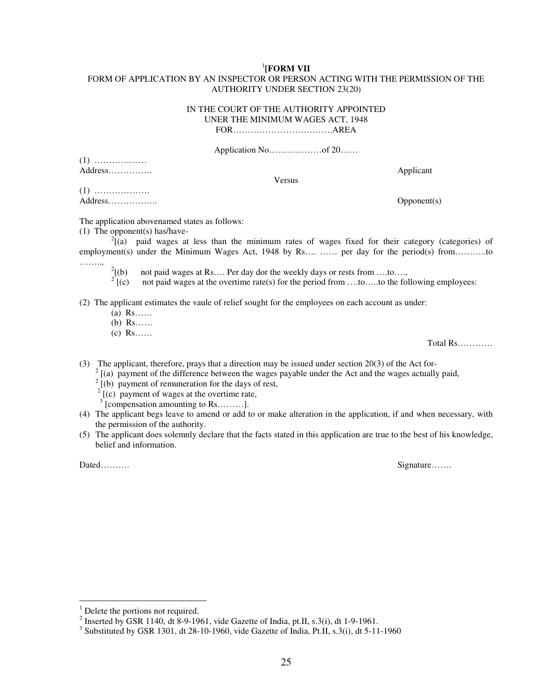#### 1 **[FORM VII**

#### FORM OF APPLICATION BY AN INSPECTOR OR PERSON ACTING WITH THE PERMISSION OF THE AUTHORITY UNDER SECTION 23(20)

#### IN THE COURT OF THE AUTHORITY APPOINTED UNER THE MINIMUM WAGES ACT, 1948 FOR…………………………….AREA

Application No………………of 20……

(1) ……………… Address…………… Applicant

Versus

(1) ………………. Address……………….. Opponent(s)

The application abovenamed states as follows:

(1) The opponent(s) has/have-

 $^{2}$ [(a) paid wages at less than the minimum rates of wages fixed for their category (categories) of employment(s) under the Minimum Wages Act, 1948 by Rs…. …… per day for the period(s) from………..to ……..,

 $2\int(b)$ not paid wages at Rs.... Per day dor the weekly days or rests from ....to....,

 $2^{2}$  [(c) not paid wages at the overtime rate(s) for the period from  $\dots$ to…..to the following employees:

(2) The applicant estimates the vaule of relief sought for the employees on each account as under:

- (a) Rs……
- (b) Rs……
- (c) Rs……

Total Rs…………

(3) The applicant, therefore, prays that a direction may be issued under section 20(3) of the Act for-

2 [(a) payment of the difference between the wages payable under the Act and the wages actually paid,

 $2^2$  [(b) payment of remuneration for the days of rest,

 $2^2$  [(c) payment of wages at the overtime rate,

<sup>3</sup> [compensation amounting to Rs………].

- (4) The applicant begs leave to amend or add to or make alteration in the application, if and when necessary, with the permission of the authority.
- (5) The applicant does solemnly declare that the facts stated in this application are true to the best of his knowledge, belief and information.

Dated………. Signature…….

<sup>&</sup>lt;sup>1</sup> Delete the portions not required.

<sup>&</sup>lt;sup>2</sup> Inserted by GSR 1140, dt 8-9-1961, vide Gazette of India, pt.II, s.3(i), dt 1-9-1961.

<sup>&</sup>lt;sup>3</sup> Substituted by GSR 1301, dt 28-10-1960, vide Gazette of India, Pt.II, s.3(i), dt 5-11-1960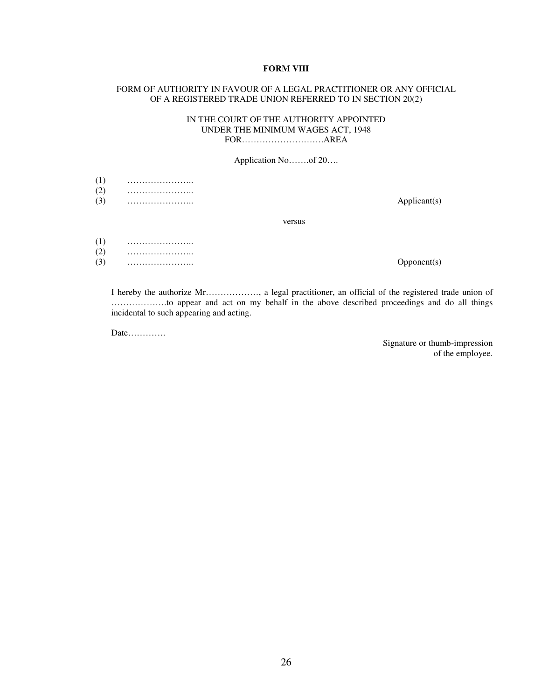#### **FORM VIII**

#### FORM OF AUTHORITY IN FAVOUR OF A LEGAL PRACTITIONER OR ANY OFFICIAL OF A REGISTERED TRADE UNION REFERRED TO IN SECTION 20(2)

#### IN THE COURT OF THE AUTHORITY APPOINTED UNDER THE MINIMUM WAGES ACT, 1948 FOR……………………….AREA

Application No…….of 20….

- (1) …………………..
- (2) …………………..
- (3) ………………….. Applicant(s)

versus

- (1) ………………….. (2) …………………..
- (3) ………………….. Opponent(s)

I hereby the authorize Mr………………, a legal practitioner, an official of the registered trade union of ……………….to appear and act on my behalf in the above described proceedings and do all things incidental to such appearing and acting.

Date………….

Signature or thumb-impression of the employee.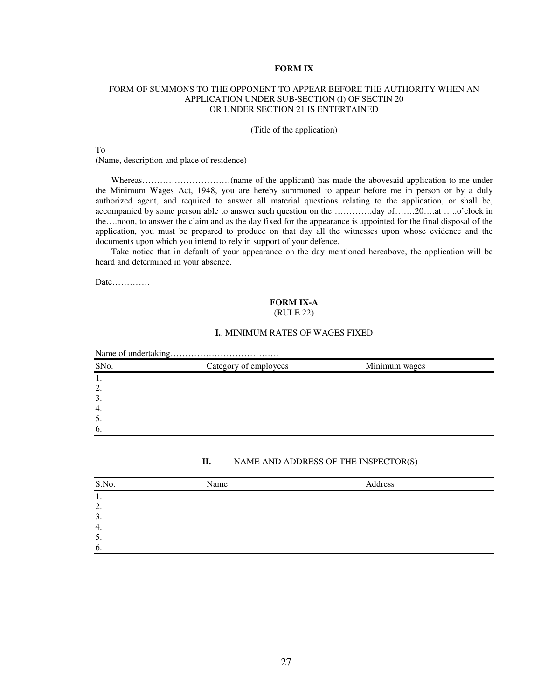#### **FORM IX**

#### FORM OF SUMMONS TO THE OPPONENT TO APPEAR BEFORE THE AUTHORITY WHEN AN APPLICATION UNDER SUB-SECTION (I) OF SECTIN 20 OR UNDER SECTION 21 IS ENTERTAINED

#### (Title of the application)

To

(Name, description and place of residence)

Whereas…………………………(name of the applicant) has made the abovesaid application to me under the Minimum Wages Act, 1948, you are hereby summoned to appear before me in person or by a duly authorized agent, and required to answer all material questions relating to the application, or shall be, accompanied by some person able to answer such question on the ………….day of…….20….at …..o'clock in the….noon, to answer the claim and as the day fixed for the appearance is appointed for the final disposal of the application, you must be prepared to produce on that day all the witnesses upon whose evidence and the documents upon which you intend to rely in support of your defence.

 Take notice that in default of your appearance on the day mentioned hereabove, the application will be heard and determined in your absence.

Date………….

#### **FORM IX-A**  (RULE 22)

#### **I.**. MINIMUM RATES OF WAGES FIXED

| SNo. | Category of employees | Minimum wages |  |
|------|-----------------------|---------------|--|
| 1.   |                       |               |  |
| 2.   |                       |               |  |
| 3.   |                       |               |  |
| 4.   |                       |               |  |
| 5.   |                       |               |  |
| 6.   |                       |               |  |

#### **II.** NAME AND ADDRESS OF THE INSPECTOR(S)

| S.No. | Name | Address |
|-------|------|---------|
| . .   |      |         |
| 2.    |      |         |
| 3.    |      |         |
| 4.    |      |         |
| 5.    |      |         |
| 6.    |      |         |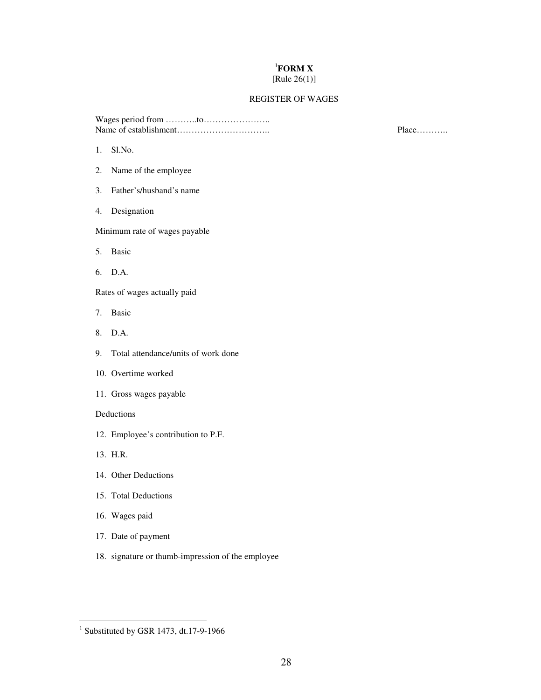#### <sup>1</sup>**FORM X**  [Rule  $26(1)$ ]

#### REGISTER OF WAGES

Wages period from ………..to………………….. Name of establishment………………………….. Place………..

- 1. Sl.No.
- 2. Name of the employee
- 3. Father's/husband's name
- 4. Designation

Minimum rate of wages payable

- 5. Basic
- 6. D.A.

Rates of wages actually paid

- 7. Basic
- 8. D.A.
- 9. Total attendance/units of work done
- 10. Overtime worked
- 11. Gross wages payable

Deductions

- 12. Employee's contribution to P.F.
- 13. H.R.

l

- 14. Other Deductions
- 15. Total Deductions
- 16. Wages paid
- 17. Date of payment
- 18. signature or thumb-impression of the employee

 $<sup>1</sup>$  Substituted by GSR 1473, dt.17-9-1966</sup>